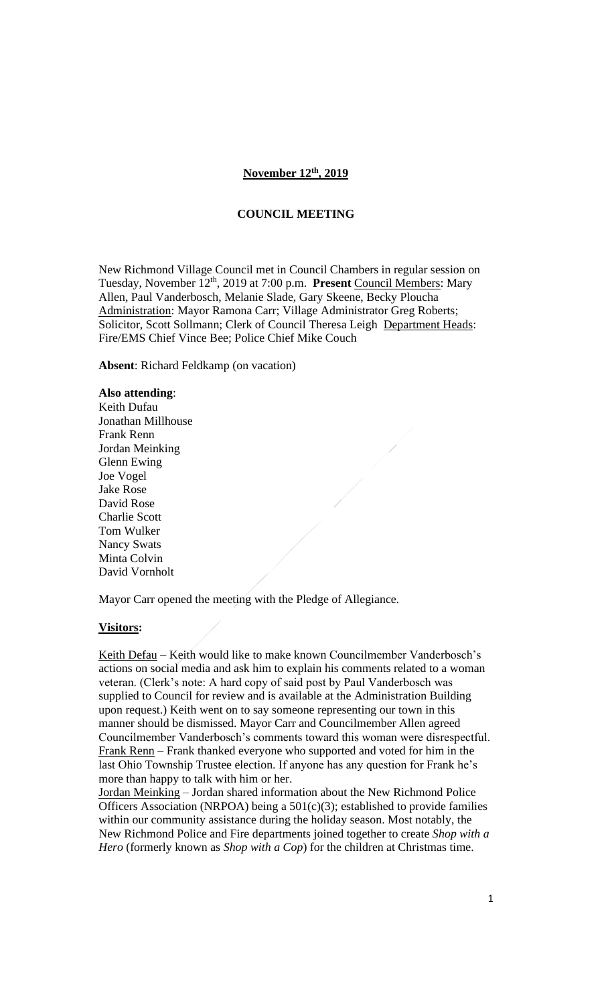### **November 12th , 2019**

#### **COUNCIL MEETING**

New Richmond Village Council met in Council Chambers in regular session on Tuesday, November 12<sup>th</sup>, 2019 at 7:00 p.m. Present Council Members: Mary Allen, Paul Vanderbosch, Melanie Slade, Gary Skeene, Becky Ploucha Administration: Mayor Ramona Carr; Village Administrator Greg Roberts; Solicitor, Scott Sollmann; Clerk of Council Theresa Leigh Department Heads: Fire/EMS Chief Vince Bee; Police Chief Mike Couch

**Absent**: Richard Feldkamp (on vacation)

### **Also attending**:

Keith Dufau Jonathan Millhouse Frank Renn Jordan Meinking Glenn Ewing Joe Vogel Jake Rose David Rose Charlie Scott Tom Wulker Nancy Swats Minta Colvin David Vornholt

Mayor Carr opened the meeting with the Pledge of Allegiance.

#### **Visitors:**

Keith Defau – Keith would like to make known Councilmember Vanderbosch's actions on social media and ask him to explain his comments related to a woman veteran. (Clerk's note: A hard copy of said post by Paul Vanderbosch was supplied to Council for review and is available at the Administration Building upon request.) Keith went on to say someone representing our town in this manner should be dismissed. Mayor Carr and Councilmember Allen agreed Councilmember Vanderbosch's comments toward this woman were disrespectful. Frank Renn – Frank thanked everyone who supported and voted for him in the last Ohio Township Trustee election. If anyone has any question for Frank he's more than happy to talk with him or her.

Jordan Meinking – Jordan shared information about the New Richmond Police Officers Association (NRPOA) being a 501(c)(3); established to provide families within our community assistance during the holiday season. Most notably, the New Richmond Police and Fire departments joined together to create *Shop with a Hero* (formerly known as *Shop with a Cop*) for the children at Christmas time.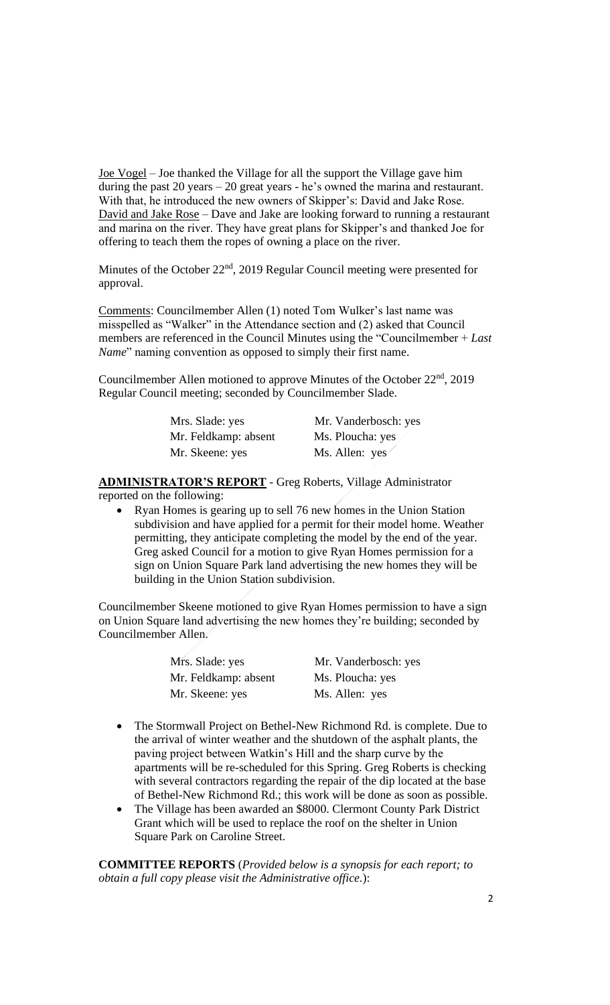Joe Vogel – Joe thanked the Village for all the support the Village gave him during the past 20 years – 20 great years - he's owned the marina and restaurant. With that, he introduced the new owners of Skipper's: David and Jake Rose. David and Jake Rose – Dave and Jake are looking forward to running a restaurant and marina on the river. They have great plans for Skipper's and thanked Joe for offering to teach them the ropes of owning a place on the river.

Minutes of the October 22<sup>nd</sup>, 2019 Regular Council meeting were presented for approval.

Comments: Councilmember Allen (1) noted Tom Wulker's last name was misspelled as "Walker" in the Attendance section and (2) asked that Council members are referenced in the Council Minutes using the "Councilmember + *Last Name*" naming convention as opposed to simply their first name.

Councilmember Allen motioned to approve Minutes of the October 22<sup>nd</sup>, 2019 Regular Council meeting; seconded by Councilmember Slade.

| Mrs. Slade: yes      | Mr. Vanderbosch: yes |
|----------------------|----------------------|
| Mr. Feldkamp: absent | Ms. Ploucha: yes     |
| Mr. Skeene: yes      | Ms. Allen: yes       |

**ADMINISTRATOR'S REPORT** - Greg Roberts, Village Administrator

reported on the following:

• Ryan Homes is gearing up to sell 76 new homes in the Union Station subdivision and have applied for a permit for their model home. Weather permitting, they anticipate completing the model by the end of the year. Greg asked Council for a motion to give Ryan Homes permission for a sign on Union Square Park land advertising the new homes they will be building in the Union Station subdivision.

Councilmember Skeene motioned to give Ryan Homes permission to have a sign on Union Square land advertising the new homes they're building; seconded by Councilmember Allen.

| Mrs. Slade: yes      | Mr. Vanderbosch: yes |
|----------------------|----------------------|
| Mr. Feldkamp: absent | Ms. Ploucha: yes     |
| Mr. Skeene: yes      | Ms. Allen: yes       |

- The Stormwall Project on Bethel-New Richmond Rd. is complete. Due to the arrival of winter weather and the shutdown of the asphalt plants, the paving project between Watkin's Hill and the sharp curve by the apartments will be re-scheduled for this Spring. Greg Roberts is checking with several contractors regarding the repair of the dip located at the base of Bethel-New Richmond Rd.; this work will be done as soon as possible.
- The Village has been awarded an \$8000. Clermont County Park District Grant which will be used to replace the roof on the shelter in Union Square Park on Caroline Street.

**COMMITTEE REPORTS** (*Provided below is a synopsis for each report; to obtain a full copy please visit the Administrative office.*):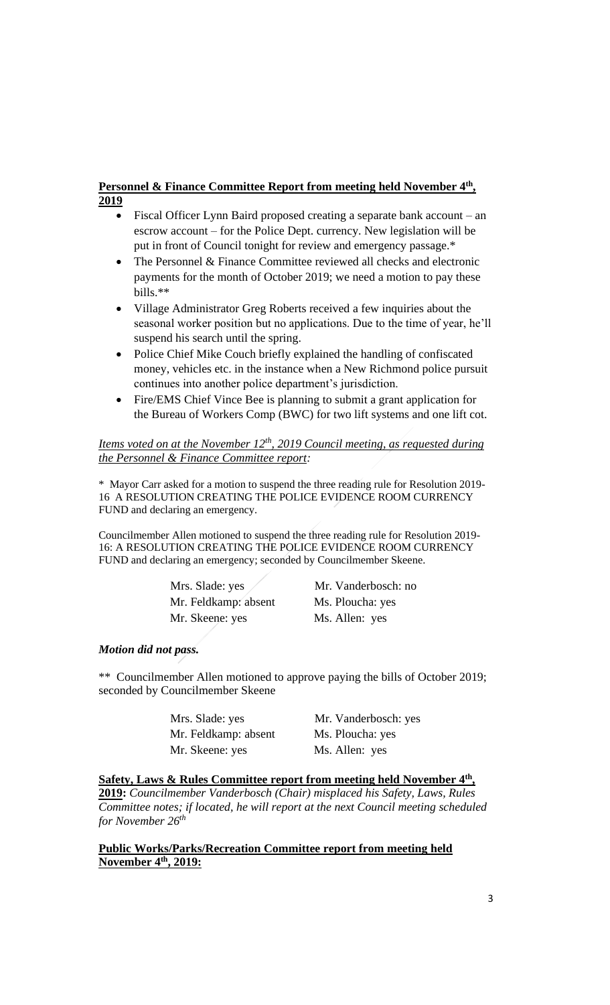# **Personnel & Finance Committee Report from meeting held November 4th , 2019**

- Fiscal Officer Lynn Baird proposed creating a separate bank account an escrow account – for the Police Dept. currency. New legislation will be put in front of Council tonight for review and emergency passage.\*
- The Personnel & Finance Committee reviewed all checks and electronic payments for the month of October 2019; we need a motion to pay these bills.\*\*
- Village Administrator Greg Roberts received a few inquiries about the seasonal worker position but no applications. Due to the time of year, he'll suspend his search until the spring.
- Police Chief Mike Couch briefly explained the handling of confiscated money, vehicles etc. in the instance when a New Richmond police pursuit continues into another police department's jurisdiction.
- Fire/EMS Chief Vince Bee is planning to submit a grant application for the Bureau of Workers Comp (BWC) for two lift systems and one lift cot.

## *Items voted on at the November 12th , 2019 Council meeting, as requested during the Personnel & Finance Committee report:*

\* Mayor Carr asked for a motion to suspend the three reading rule for Resolution 2019- 16 A RESOLUTION CREATING THE POLICE EVIDENCE ROOM CURRENCY FUND and declaring an emergency.

Councilmember Allen motioned to suspend the three reading rule for Resolution 2019- 16: A RESOLUTION CREATING THE POLICE EVIDENCE ROOM CURRENCY FUND and declaring an emergency; seconded by Councilmember Skeene.

| Mrs. Slade: yes      | Mr. Vanderbosch: no |
|----------------------|---------------------|
| Mr. Feldkamp: absent | Ms. Ploucha: yes    |
| Mr. Skeene: yes      | Ms. Allen: yes      |

## *Motion did not pass.*

\*\* Councilmember Allen motioned to approve paying the bills of October 2019; seconded by Councilmember Skeene

> Mr. Feldkamp: absent Ms. Ploucha: yes Mr. Skeene: yes Ms. Allen: yes

Mrs. Slade: yes Mr. Vanderbosch: yes

# **Safety, Laws & Rules Committee report from meeting held November 4th ,**

**2019:** *Councilmember Vanderbosch (Chair) misplaced his Safety, Laws, Rules Committee notes; if located, he will report at the next Council meeting scheduled for November 26th*

### **Public Works/Parks/Recreation Committee report from meeting held November 4th, 2019:**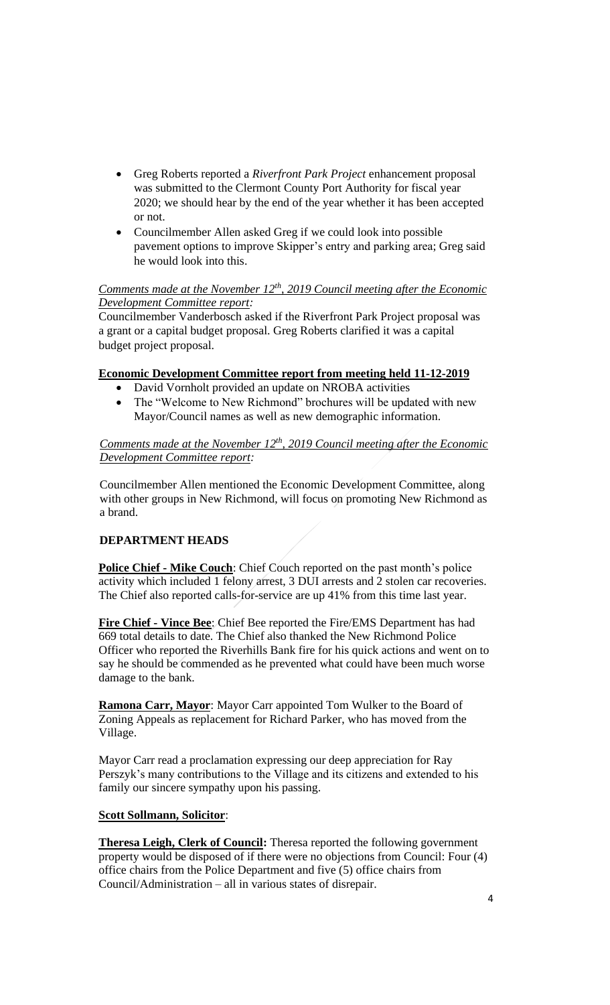- Greg Roberts reported a *Riverfront Park Project* enhancement proposal was submitted to the Clermont County Port Authority for fiscal year 2020; we should hear by the end of the year whether it has been accepted or not.
- Councilmember Allen asked Greg if we could look into possible pavement options to improve Skipper's entry and parking area; Greg said he would look into this.

## *Comments made at the November 12th , 2019 Council meeting after the Economic Development Committee report:*

Councilmember Vanderbosch asked if the Riverfront Park Project proposal was a grant or a capital budget proposal. Greg Roberts clarified it was a capital budget project proposal.

# **Economic Development Committee report from meeting held 11-12-2019**

- David Vornholt provided an update on NROBA activities
- The "Welcome to New Richmond" brochures will be updated with new Mayor/Council names as well as new demographic information.

## *Comments made at the November 12th , 2019 Council meeting after the Economic Development Committee report:*

Councilmember Allen mentioned the Economic Development Committee, along with other groups in New Richmond, will focus on promoting New Richmond as a brand.

# **DEPARTMENT HEADS**

**Police Chief - Mike Couch**: Chief Couch reported on the past month's police activity which included 1 felony arrest, 3 DUI arrests and 2 stolen car recoveries. The Chief also reported calls-for-service are up 41% from this time last year.

**Fire Chief - Vince Bee**: Chief Bee reported the Fire/EMS Department has had 669 total details to date. The Chief also thanked the New Richmond Police Officer who reported the Riverhills Bank fire for his quick actions and went on to say he should be commended as he prevented what could have been much worse damage to the bank.

**Ramona Carr, Mayor**: Mayor Carr appointed Tom Wulker to the Board of Zoning Appeals as replacement for Richard Parker, who has moved from the Village.

Mayor Carr read a proclamation expressing our deep appreciation for Ray Perszyk's many contributions to the Village and its citizens and extended to his family our sincere sympathy upon his passing.

## **Scott Sollmann, Solicitor**:

**Theresa Leigh, Clerk of Council:** Theresa reported the following government property would be disposed of if there were no objections from Council: Four (4) office chairs from the Police Department and five (5) office chairs from Council/Administration – all in various states of disrepair.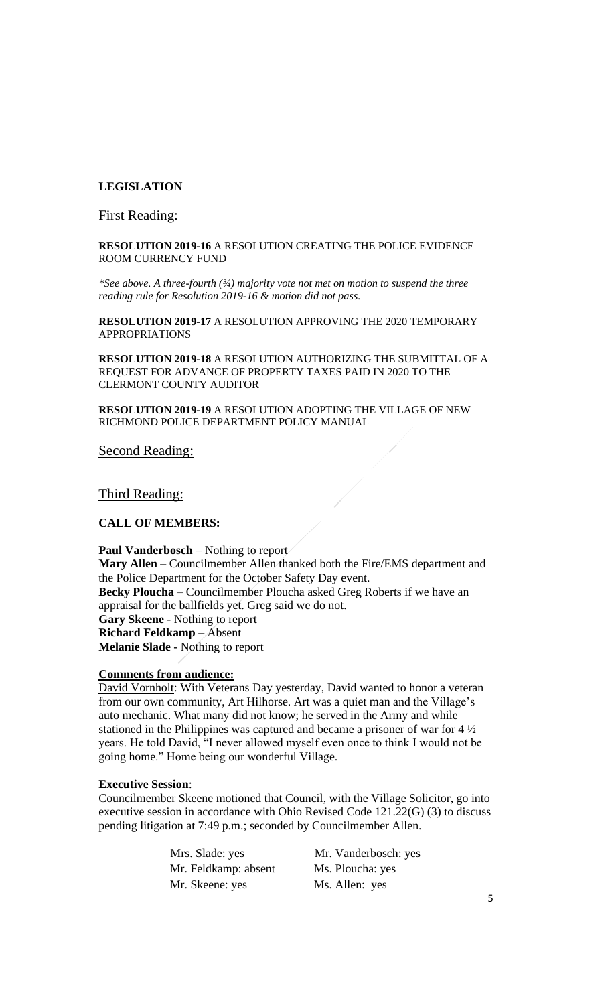## **LEGISLATION**

### First Reading:

### **RESOLUTION 2019-16** A RESOLUTION CREATING THE POLICE EVIDENCE ROOM CURRENCY FUND

*\*See above. A three-fourth (¾) majority vote not met on motion to suspend the three reading rule for Resolution 2019-16 & motion did not pass.*

**RESOLUTION 2019-17** A RESOLUTION APPROVING THE 2020 TEMPORARY APPROPRIATIONS

**RESOLUTION 2019-18** A RESOLUTION AUTHORIZING THE SUBMITTAL OF A REQUEST FOR ADVANCE OF PROPERTY TAXES PAID IN 2020 TO THE CLERMONT COUNTY AUDITOR

**RESOLUTION 2019-19** A RESOLUTION ADOPTING THE VILLAGE OF NEW RICHMOND POLICE DEPARTMENT POLICY MANUAL

Second Reading:

Third Reading:

## **CALL OF MEMBERS:**

**Paul Vanderbosch** – Nothing to report **Mary Allen** – Councilmember Allen thanked both the Fire/EMS department and the Police Department for the October Safety Day event. **Becky Ploucha** – Councilmember Ploucha asked Greg Roberts if we have an appraisal for the ballfields yet. Greg said we do not. **Gary Skeene** - Nothing to report **Richard Feldkamp** – Absent **Melanie Slade** - Nothing to report

#### **Comments from audience:**

David Vornholt: With Veterans Day yesterday, David wanted to honor a veteran from our own community, Art Hilhorse. Art was a quiet man and the Village's auto mechanic. What many did not know; he served in the Army and while stationed in the Philippines was captured and became a prisoner of war for 4 ½ years. He told David, "I never allowed myself even once to think I would not be going home." Home being our wonderful Village.

#### **Executive Session**:

Councilmember Skeene motioned that Council, with the Village Solicitor, go into executive session in accordance with Ohio Revised Code 121.22(G) (3) to discuss pending litigation at 7:49 p.m.; seconded by Councilmember Allen.

> Mrs. Slade: yes Mr. Vanderbosch: yes Mr. Feldkamp: absent Ms. Ploucha: yes Mr. Skeene: yes Ms. Allen: yes